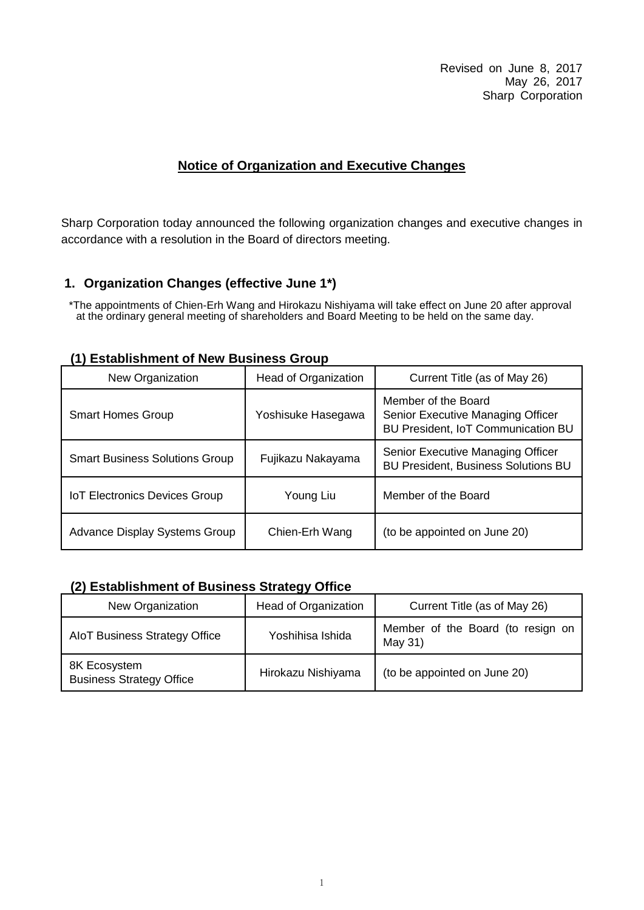Revised on June 8, 2017 May 26, 2017 Sharp Corporation

#### **Notice of Organization and Executive Changes**

Sharp Corporation today announced the following organization changes and executive changes in accordance with a resolution in the Board of directors meeting.

#### **1. Organization Changes (effective June 1\*)**

\*The appointments of Chien-Erh Wang and Hirokazu Nishiyama will take effect on June 20 after approval at the ordinary general meeting of shareholders and Board Meeting to be held on the same day.

| New Organization                      | Head of Organization | Current Title (as of May 26)                                                                   |  |  |
|---------------------------------------|----------------------|------------------------------------------------------------------------------------------------|--|--|
| <b>Smart Homes Group</b>              | Yoshisuke Hasegawa   | Member of the Board<br>Senior Executive Managing Officer<br>BU President, IoT Communication BU |  |  |
| <b>Smart Business Solutions Group</b> | Fujikazu Nakayama    | Senior Executive Managing Officer<br><b>BU President, Business Solutions BU</b>                |  |  |
| <b>IoT Electronics Devices Group</b>  | Young Liu            | Member of the Board                                                                            |  |  |
| Advance Display Systems Group         | Chien-Erh Wang       | (to be appointed on June 20)                                                                   |  |  |

#### **(1) Establishment of New Business Group**

#### **(2) Establishment of Business Strategy Office**

| New Organization                                | Head of Organization | Current Title (as of May 26)                 |
|-------------------------------------------------|----------------------|----------------------------------------------|
| AloT Business Strategy Office                   | Yoshihisa Ishida     | Member of the Board (to resign on<br>May 31) |
| 8K Ecosystem<br><b>Business Strategy Office</b> | Hirokazu Nishiyama   | (to be appointed on June 20)                 |